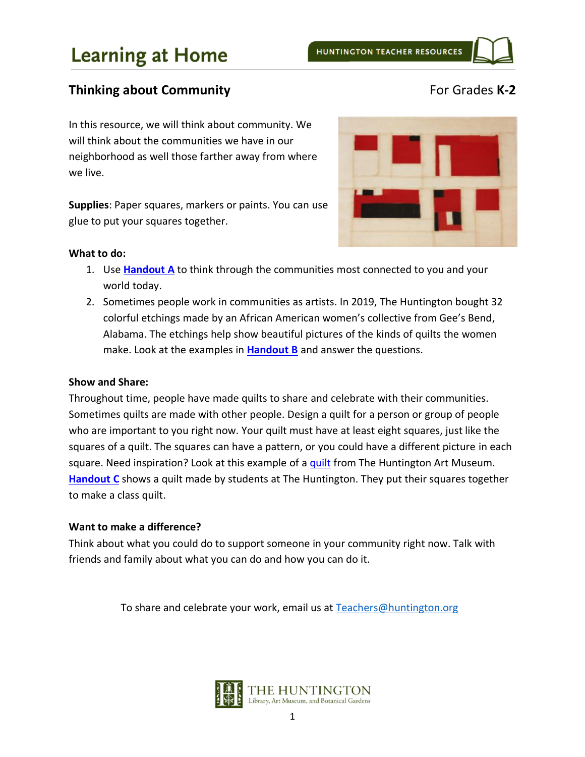## **Thinking about Community For Grades K-2**

In this resource, we will think about community. We will think about the communities we have in our neighborhood as well those farther away from where we live.

**Supplies**: Paper squares, markers or paints. You can use glue to put your squares together.



#### **What to do:**

- 1. Use **[Handout](#page-2-0) A** to think through the communities most connected to you and your world today.
- 2. Sometimes people work in communities as artists. In 2019, The Huntington bought 32 colorful etchings made by an African American women's collective from Gee's Bend, Alabama. The etchings help show beautiful pictures of the kinds of quilts the women make. Look at the examples in **[Handout](#page-3-0) B** and answer the questions.

### **Show and Share:**

Throughout time, people have made quilts to share and celebrate with their communities. Sometimes quilts are made with other people. Design a quilt for a person or group of people who are important to you right now. Your quilt must have at least eight squares, just like the squares of a quilt. The squares can have a pattern, or you could have a different picture in each square. Need inspiration? Look at this example of a [quilt](https://huntington.emuseum.com/objects/57846/log-cabin-light-and-dark-quilt?ctx=ba4e2ea4645183baea281de347eef70b23940651&idx=221) from The Huntington Art Museum. **[Handout C](#page-5-0)** shows a quilt made by students at The Huntington. They put their squares together to make a class quilt.

### **Want to make a difference?**

Think about what you could do to support someone in your community right now. Talk with friends and family about what you can do and how you can do it. 

To share and celebrate your work, email us at [Teachers@huntington.org](mailto:Teachers@huntington.org)

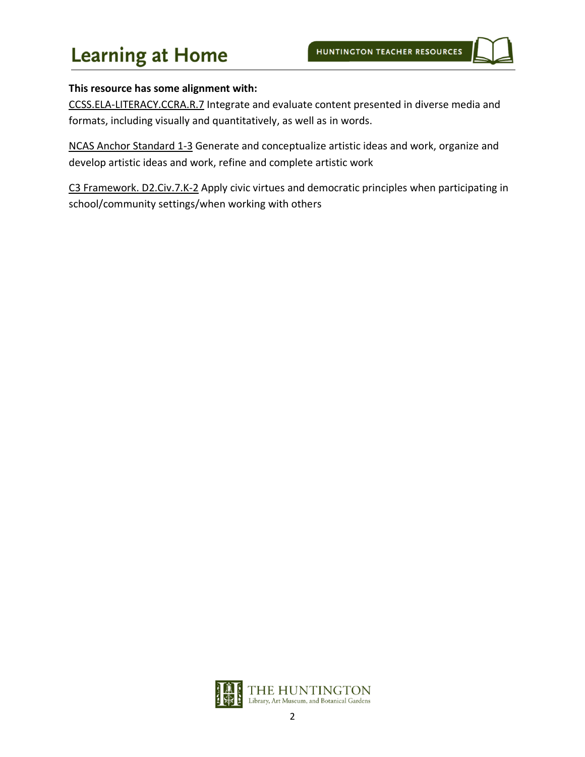### **This resource has some alignment with:**

CCSS.ELA-LITERACY.CCRA.R.7 Integrate and evaluate content presented in diverse media and formats, including visually and quantitatively, as well as in words.

NCAS Anchor Standard 1-3 Generate and conceptualize artistic ideas and work, organize and develop artistic ideas and work, refine and complete artistic work

C3 Framework. D2.Civ.7.K-2 Apply civic virtues and democratic principles when participating in school/community settings/when working with others

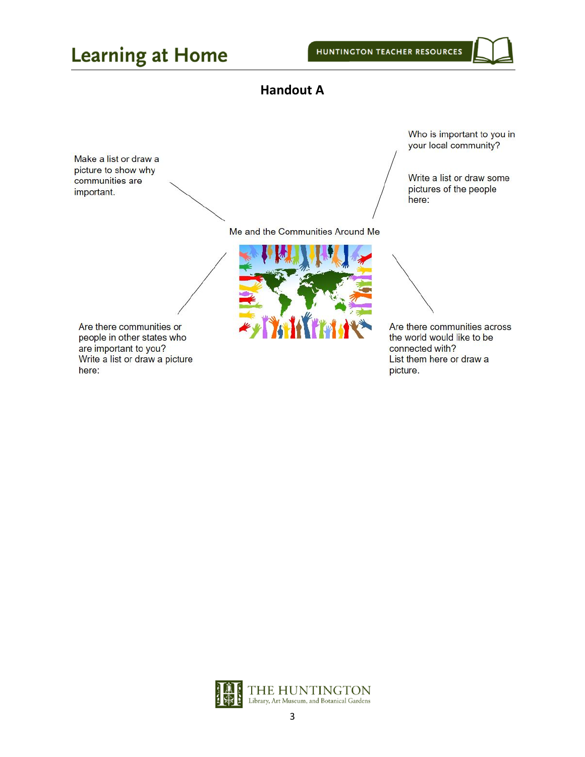### **Handout A**

<span id="page-2-0"></span>Make a list or draw a picture to show why communities are important.

Who is important to you in your local community?

Write a list or draw some pictures of the people here:

Me and the Communities Around Me



Are there communities across the world would like to be connected with? List them here or draw a picture.

Are there communities or people in other states who are important to you? Write a list or draw a picture here:

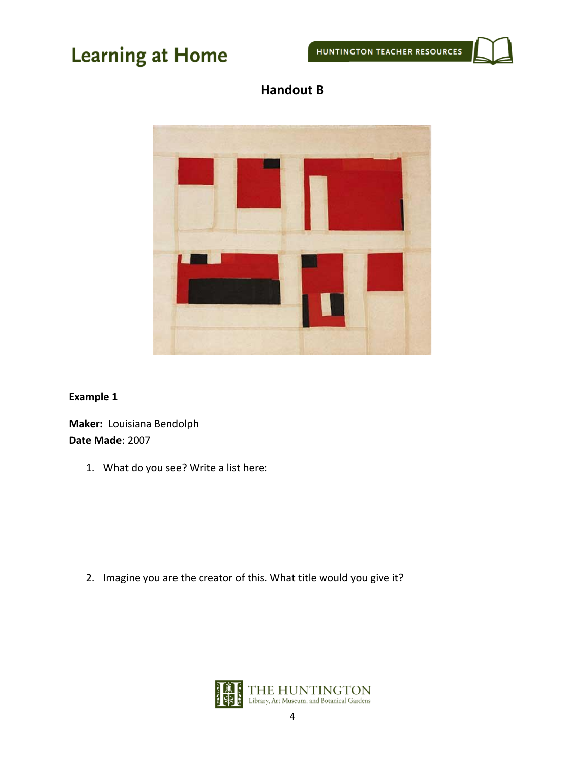

<span id="page-3-0"></span>

### **Example 1**

**Maker:** Louisiana Bendolph **Date Made**: 2007

1. What do you see? Write a list here:

2. Imagine you are the creator of this. What title would you give it?

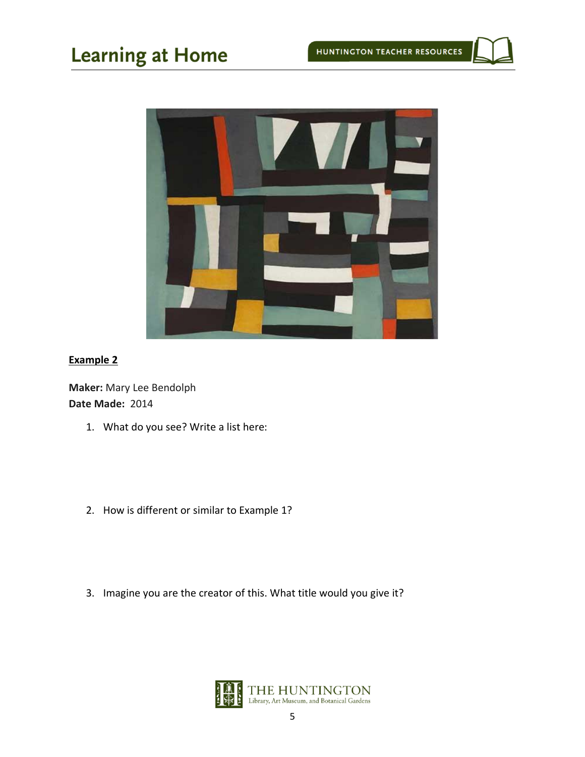

### **Example 2**

**Maker:** Mary Lee Bendolph **Date Made:** 2014

- 1. What do you see? Write a list here:
- 2. How is different or similar to Example 1?
- 3. Imagine you are the creator of this. What title would you give it?